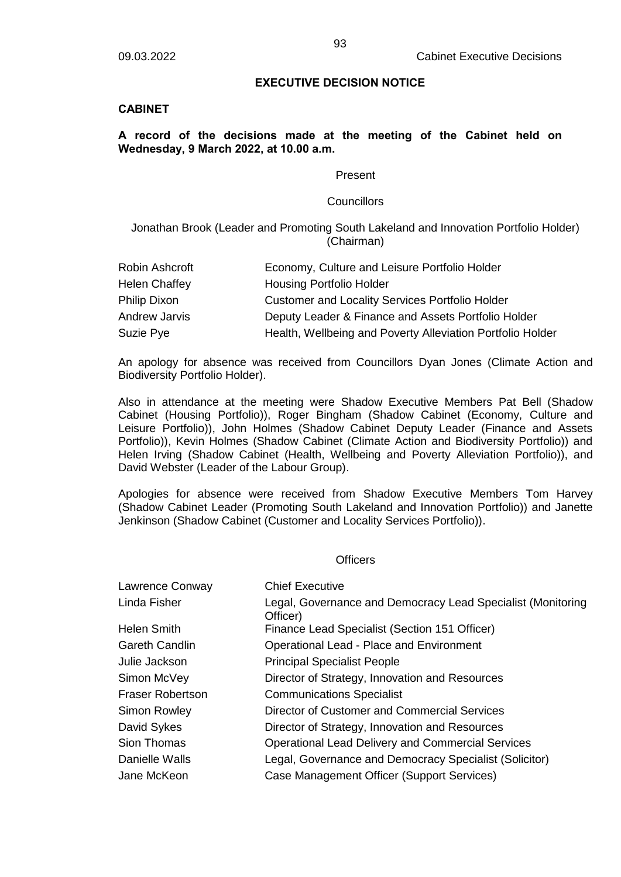### **EXECUTIVE DECISION NOTICE**

### **CABINET**

# **A record of the decisions made at the meeting of the Cabinet held on Wednesday, 9 March 2022, at 10.00 a.m.**

#### Present

#### **Councillors**

Jonathan Brook (Leader and Promoting South Lakeland and Innovation Portfolio Holder) (Chairman)

| Robin Ashcroft | Economy, Culture and Leisure Portfolio Holder              |
|----------------|------------------------------------------------------------|
| Helen Chaffey  | <b>Housing Portfolio Holder</b>                            |
| Philip Dixon   | <b>Customer and Locality Services Portfolio Holder</b>     |
| Andrew Jarvis  | Deputy Leader & Finance and Assets Portfolio Holder        |
| Suzie Pye      | Health, Wellbeing and Poverty Alleviation Portfolio Holder |

An apology for absence was received from Councillors Dyan Jones (Climate Action and Biodiversity Portfolio Holder).

Also in attendance at the meeting were Shadow Executive Members Pat Bell (Shadow Cabinet (Housing Portfolio)), Roger Bingham (Shadow Cabinet (Economy, Culture and Leisure Portfolio)), John Holmes (Shadow Cabinet Deputy Leader (Finance and Assets Portfolio)), Kevin Holmes (Shadow Cabinet (Climate Action and Biodiversity Portfolio)) and Helen Irving (Shadow Cabinet (Health, Wellbeing and Poverty Alleviation Portfolio)), and David Webster (Leader of the Labour Group).

Apologies for absence were received from Shadow Executive Members Tom Harvey (Shadow Cabinet Leader (Promoting South Lakeland and Innovation Portfolio)) and Janette Jenkinson (Shadow Cabinet (Customer and Locality Services Portfolio)).

#### **Officers**

| Lawrence Conway         | <b>Chief Executive</b>                                                  |
|-------------------------|-------------------------------------------------------------------------|
| Linda Fisher            | Legal, Governance and Democracy Lead Specialist (Monitoring<br>Officer) |
| <b>Helen Smith</b>      | Finance Lead Specialist (Section 151 Officer)                           |
| <b>Gareth Candlin</b>   | <b>Operational Lead - Place and Environment</b>                         |
| Julie Jackson           | <b>Principal Specialist People</b>                                      |
| Simon McVey             | Director of Strategy, Innovation and Resources                          |
| <b>Fraser Robertson</b> | <b>Communications Specialist</b>                                        |
| <b>Simon Rowley</b>     | Director of Customer and Commercial Services                            |
| David Sykes             | Director of Strategy, Innovation and Resources                          |
| Sion Thomas             | <b>Operational Lead Delivery and Commercial Services</b>                |
| Danielle Walls          | Legal, Governance and Democracy Specialist (Solicitor)                  |
| Jane McKeon             | Case Management Officer (Support Services)                              |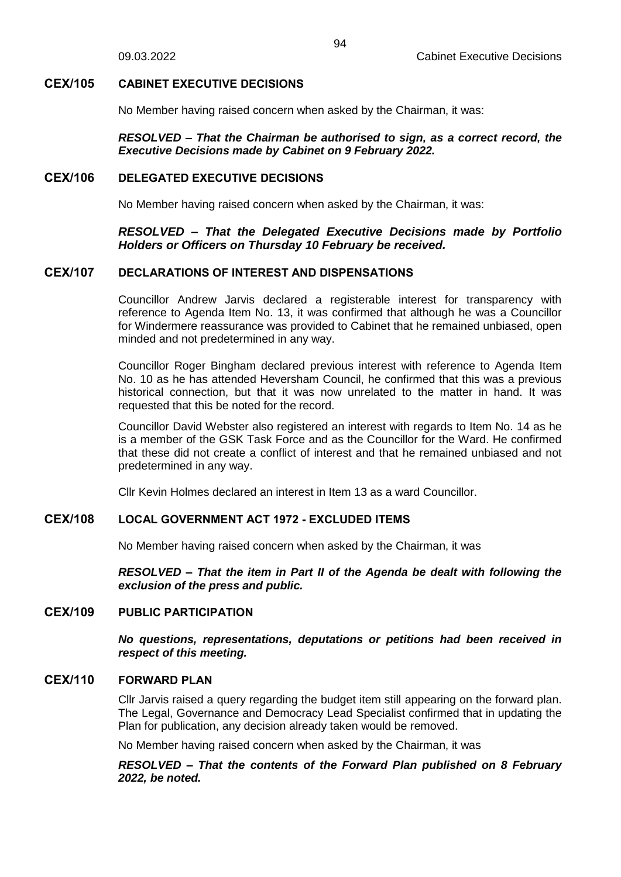# **CEX/105 CABINET EXECUTIVE DECISIONS**

No Member having raised concern when asked by the Chairman, it was:

*RESOLVED – That the Chairman be authorised to sign, as a correct record, the Executive Decisions made by Cabinet on 9 February 2022.*

# **CEX/106 DELEGATED EXECUTIVE DECISIONS**

No Member having raised concern when asked by the Chairman, it was:

# *RESOLVED – That the Delegated Executive Decisions made by Portfolio Holders or Officers on Thursday 10 February be received.*

# **CEX/107 DECLARATIONS OF INTEREST AND DISPENSATIONS**

Councillor Andrew Jarvis declared a registerable interest for transparency with reference to Agenda Item No. 13, it was confirmed that although he was a Councillor for Windermere reassurance was provided to Cabinet that he remained unbiased, open minded and not predetermined in any way.

Councillor Roger Bingham declared previous interest with reference to Agenda Item No. 10 as he has attended Heversham Council, he confirmed that this was a previous historical connection, but that it was now unrelated to the matter in hand. It was requested that this be noted for the record.

Councillor David Webster also registered an interest with regards to Item No. 14 as he is a member of the GSK Task Force and as the Councillor for the Ward. He confirmed that these did not create a conflict of interest and that he remained unbiased and not predetermined in any way.

Cllr Kevin Holmes declared an interest in Item 13 as a ward Councillor.

# **CEX/108 LOCAL GOVERNMENT ACT 1972 - EXCLUDED ITEMS**

No Member having raised concern when asked by the Chairman, it was

*RESOLVED – That the item in Part II of the Agenda be dealt with following the exclusion of the press and public.*

# **CEX/109 PUBLIC PARTICIPATION**

*No questions, representations, deputations or petitions had been received in respect of this meeting.*

# **CEX/110 FORWARD PLAN**

Cllr Jarvis raised a query regarding the budget item still appearing on the forward plan. The Legal, Governance and Democracy Lead Specialist confirmed that in updating the Plan for publication, any decision already taken would be removed.

No Member having raised concern when asked by the Chairman, it was

### *RESOLVED – That the contents of the Forward Plan published on 8 February 2022, be noted.*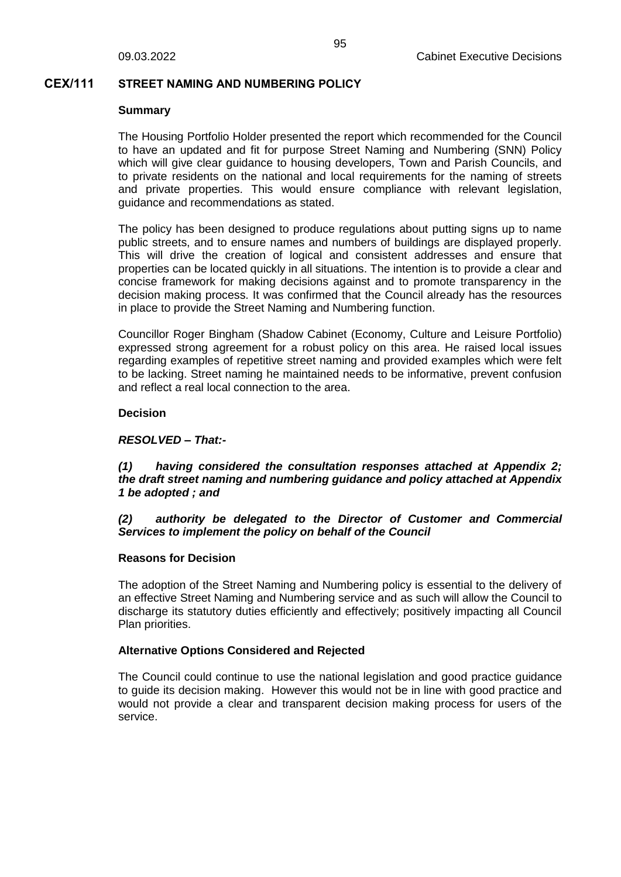### **CEX/111 STREET NAMING AND NUMBERING POLICY**

#### **Summary**

The Housing Portfolio Holder presented the report which recommended for the Council to have an updated and fit for purpose Street Naming and Numbering (SNN) Policy which will give clear guidance to housing developers, Town and Parish Councils, and to private residents on the national and local requirements for the naming of streets and private properties. This would ensure compliance with relevant legislation, guidance and recommendations as stated.

The policy has been designed to produce regulations about putting signs up to name public streets, and to ensure names and numbers of buildings are displayed properly. This will drive the creation of logical and consistent addresses and ensure that properties can be located quickly in all situations. The intention is to provide a clear and concise framework for making decisions against and to promote transparency in the decision making process. It was confirmed that the Council already has the resources in place to provide the Street Naming and Numbering function.

Councillor Roger Bingham (Shadow Cabinet (Economy, Culture and Leisure Portfolio) expressed strong agreement for a robust policy on this area. He raised local issues regarding examples of repetitive street naming and provided examples which were felt to be lacking. Street naming he maintained needs to be informative, prevent confusion and reflect a real local connection to the area.

### **Decision**

### *RESOLVED – That:-*

# *(1) having considered the consultation responses attached at Appendix 2; the draft street naming and numbering guidance and policy attached at Appendix 1 be adopted ; and*

### *(2) authority be delegated to the Director of Customer and Commercial Services to implement the policy on behalf of the Council*

### **Reasons for Decision**

The adoption of the Street Naming and Numbering policy is essential to the delivery of an effective Street Naming and Numbering service and as such will allow the Council to discharge its statutory duties efficiently and effectively; positively impacting all Council Plan priorities.

### **Alternative Options Considered and Rejected**

The Council could continue to use the national legislation and good practice guidance to guide its decision making. However this would not be in line with good practice and would not provide a clear and transparent decision making process for users of the service.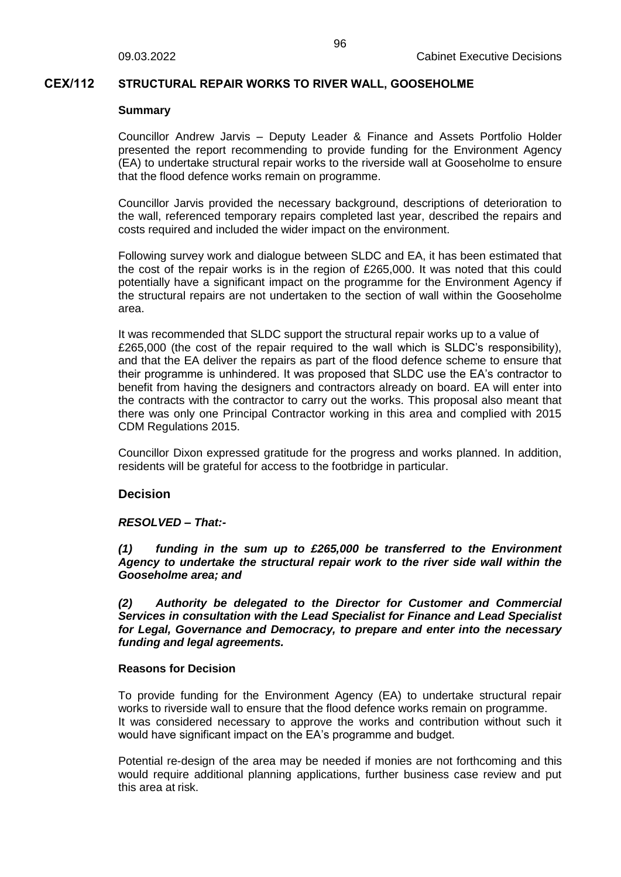### **CEX/112 STRUCTURAL REPAIR WORKS TO RIVER WALL, GOOSEHOLME**

#### **Summary**

Councillor Andrew Jarvis – Deputy Leader & Finance and Assets Portfolio Holder presented the report recommending to provide funding for the Environment Agency (EA) to undertake structural repair works to the riverside wall at Gooseholme to ensure that the flood defence works remain on programme.

Councillor Jarvis provided the necessary background, descriptions of deterioration to the wall, referenced temporary repairs completed last year, described the repairs and costs required and included the wider impact on the environment.

Following survey work and dialogue between SLDC and EA, it has been estimated that the cost of the repair works is in the region of £265,000. It was noted that this could potentially have a significant impact on the programme for the Environment Agency if the structural repairs are not undertaken to the section of wall within the Gooseholme area.

It was recommended that SLDC support the structural repair works up to a value of £265,000 (the cost of the repair required to the wall which is SLDC's responsibility), and that the EA deliver the repairs as part of the flood defence scheme to ensure that their programme is unhindered. It was proposed that SLDC use the EA's contractor to benefit from having the designers and contractors already on board. EA will enter into the contracts with the contractor to carry out the works. This proposal also meant that there was only one Principal Contractor working in this area and complied with 2015 CDM Regulations 2015.

Councillor Dixon expressed gratitude for the progress and works planned. In addition, residents will be grateful for access to the footbridge in particular.

### **Decision**

### *RESOLVED – That:-*

*(1) funding in the sum up to £265,000 be transferred to the Environment Agency to undertake the structural repair work to the river side wall within the Gooseholme area; and*

*(2) Authority be delegated to the Director for Customer and Commercial Services in consultation with the Lead Specialist for Finance and Lead Specialist for Legal, Governance and Democracy, to prepare and enter into the necessary funding and legal agreements.*

#### **Reasons for Decision**

To provide funding for the Environment Agency (EA) to undertake structural repair works to riverside wall to ensure that the flood defence works remain on programme. It was considered necessary to approve the works and contribution without such it would have significant impact on the EA's programme and budget.

Potential re-design of the area may be needed if monies are not forthcoming and this would require additional planning applications, further business case review and put this area at risk.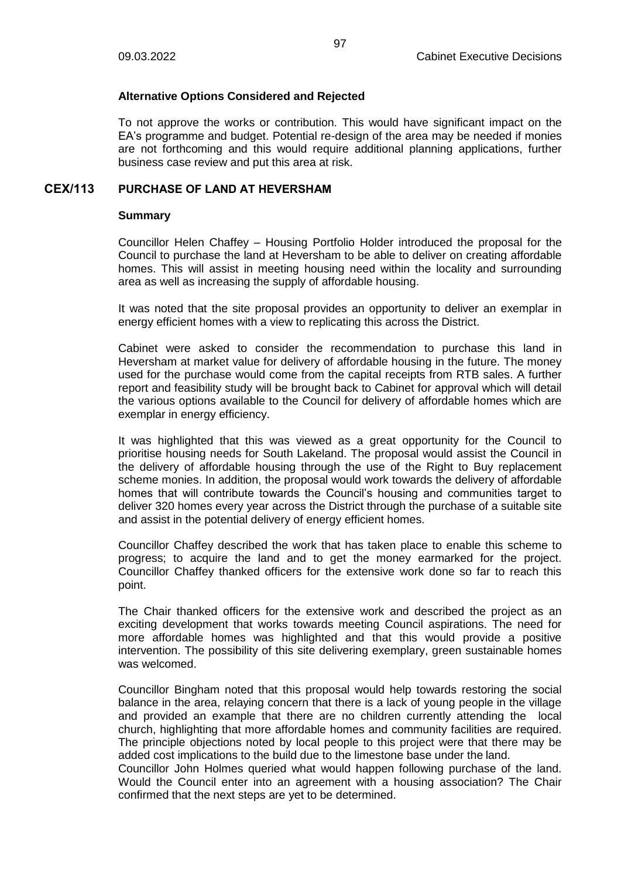# **Alternative Options Considered and Rejected**

To not approve the works or contribution. This would have significant impact on the EA's programme and budget. Potential re-design of the area may be needed if monies are not forthcoming and this would require additional planning applications, further business case review and put this area at risk.

# **CEX/113 PURCHASE OF LAND AT HEVERSHAM**

### **Summary**

Councillor Helen Chaffey – Housing Portfolio Holder introduced the proposal for the Council to purchase the land at Heversham to be able to deliver on creating affordable homes. This will assist in meeting housing need within the locality and surrounding area as well as increasing the supply of affordable housing.

It was noted that the site proposal provides an opportunity to deliver an exemplar in energy efficient homes with a view to replicating this across the District.

Cabinet were asked to consider the recommendation to purchase this land in Heversham at market value for delivery of affordable housing in the future. The money used for the purchase would come from the capital receipts from RTB sales. A further report and feasibility study will be brought back to Cabinet for approval which will detail the various options available to the Council for delivery of affordable homes which are exemplar in energy efficiency.

It was highlighted that this was viewed as a great opportunity for the Council to prioritise housing needs for South Lakeland. The proposal would assist the Council in the delivery of affordable housing through the use of the Right to Buy replacement scheme monies. In addition, the proposal would work towards the delivery of affordable homes that will contribute towards the Council's housing and communities target to deliver 320 homes every year across the District through the purchase of a suitable site and assist in the potential delivery of energy efficient homes.

Councillor Chaffey described the work that has taken place to enable this scheme to progress; to acquire the land and to get the money earmarked for the project. Councillor Chaffey thanked officers for the extensive work done so far to reach this point.

The Chair thanked officers for the extensive work and described the project as an exciting development that works towards meeting Council aspirations. The need for more affordable homes was highlighted and that this would provide a positive intervention. The possibility of this site delivering exemplary, green sustainable homes was welcomed.

Councillor Bingham noted that this proposal would help towards restoring the social balance in the area, relaying concern that there is a lack of young people in the village and provided an example that there are no children currently attending the local church, highlighting that more affordable homes and community facilities are required. The principle objections noted by local people to this project were that there may be added cost implications to the build due to the limestone base under the land. Councillor John Holmes queried what would happen following purchase of the land. Would the Council enter into an agreement with a housing association? The Chair confirmed that the next steps are yet to be determined.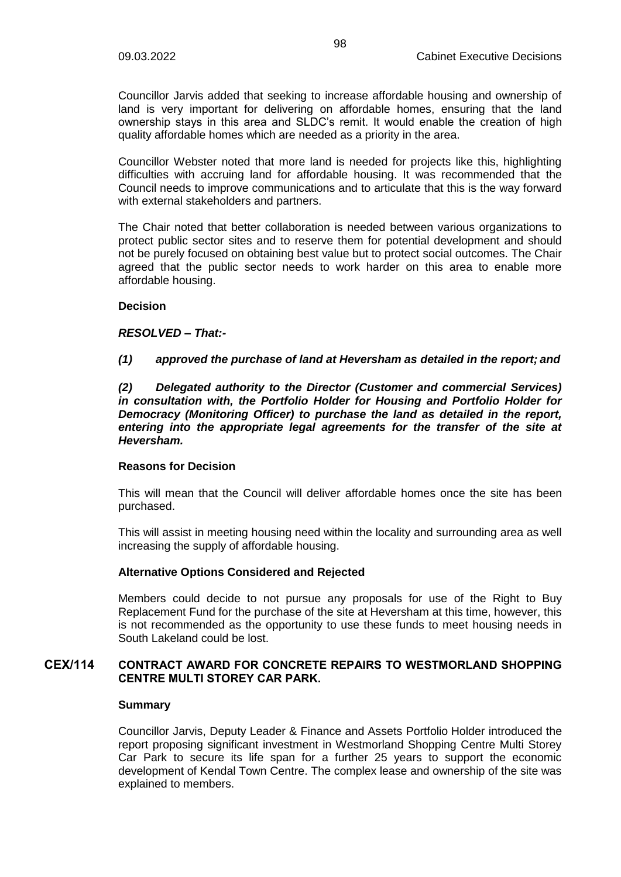Councillor Jarvis added that seeking to increase affordable housing and ownership of land is very important for delivering on affordable homes, ensuring that the land ownership stays in this area and SLDC's remit. It would enable the creation of high quality affordable homes which are needed as a priority in the area.

Councillor Webster noted that more land is needed for projects like this, highlighting difficulties with accruing land for affordable housing. It was recommended that the Council needs to improve communications and to articulate that this is the way forward with external stakeholders and partners.

The Chair noted that better collaboration is needed between various organizations to protect public sector sites and to reserve them for potential development and should not be purely focused on obtaining best value but to protect social outcomes. The Chair agreed that the public sector needs to work harder on this area to enable more affordable housing.

### **Decision**

### *RESOLVED – That:-*

# *(1) approved the purchase of land at Heversham as detailed in the report; and*

*(2) Delegated authority to the Director (Customer and commercial Services) in consultation with, the Portfolio Holder for Housing and Portfolio Holder for Democracy (Monitoring Officer) to purchase the land as detailed in the report, entering into the appropriate legal agreements for the transfer of the site at Heversham.*

### **Reasons for Decision**

This will mean that the Council will deliver affordable homes once the site has been purchased.

This will assist in meeting housing need within the locality and surrounding area as well increasing the supply of affordable housing.

# **Alternative Options Considered and Rejected**

Members could decide to not pursue any proposals for use of the Right to Buy Replacement Fund for the purchase of the site at Heversham at this time, however, this is not recommended as the opportunity to use these funds to meet housing needs in South Lakeland could be lost.

### **CEX/114 CONTRACT AWARD FOR CONCRETE REPAIRS TO WESTMORLAND SHOPPING CENTRE MULTI STOREY CAR PARK.**

### **Summary**

Councillor Jarvis, Deputy Leader & Finance and Assets Portfolio Holder introduced the report proposing significant investment in Westmorland Shopping Centre Multi Storey Car Park to secure its life span for a further 25 years to support the economic development of Kendal Town Centre. The complex lease and ownership of the site was explained to members.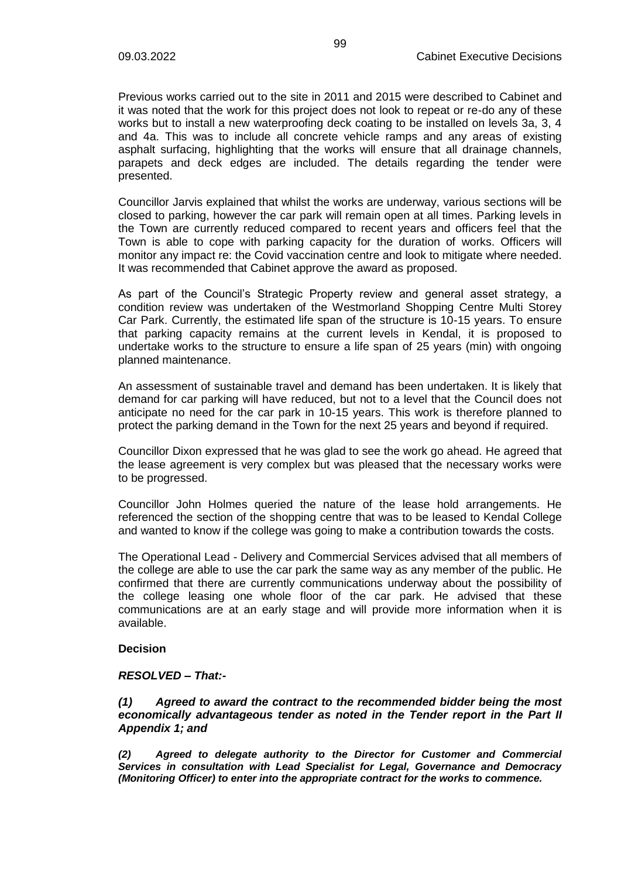Previous works carried out to the site in 2011 and 2015 were described to Cabinet and it was noted that the work for this project does not look to repeat or re-do any of these works but to install a new waterproofing deck coating to be installed on levels 3a, 3, 4 and 4a. This was to include all concrete vehicle ramps and any areas of existing asphalt surfacing, highlighting that the works will ensure that all drainage channels, parapets and deck edges are included. The details regarding the tender were presented.

Councillor Jarvis explained that whilst the works are underway, various sections will be closed to parking, however the car park will remain open at all times. Parking levels in the Town are currently reduced compared to recent years and officers feel that the Town is able to cope with parking capacity for the duration of works. Officers will monitor any impact re: the Covid vaccination centre and look to mitigate where needed. It was recommended that Cabinet approve the award as proposed.

As part of the Council's Strategic Property review and general asset strategy, a condition review was undertaken of the Westmorland Shopping Centre Multi Storey Car Park. Currently, the estimated life span of the structure is 10-15 years. To ensure that parking capacity remains at the current levels in Kendal, it is proposed to undertake works to the structure to ensure a life span of 25 years (min) with ongoing planned maintenance.

An assessment of sustainable travel and demand has been undertaken. It is likely that demand for car parking will have reduced, but not to a level that the Council does not anticipate no need for the car park in 10-15 years. This work is therefore planned to protect the parking demand in the Town for the next 25 years and beyond if required.

Councillor Dixon expressed that he was glad to see the work go ahead. He agreed that the lease agreement is very complex but was pleased that the necessary works were to be progressed.

Councillor John Holmes queried the nature of the lease hold arrangements. He referenced the section of the shopping centre that was to be leased to Kendal College and wanted to know if the college was going to make a contribution towards the costs.

The Operational Lead - Delivery and Commercial Services advised that all members of the college are able to use the car park the same way as any member of the public. He confirmed that there are currently communications underway about the possibility of the college leasing one whole floor of the car park. He advised that these communications are at an early stage and will provide more information when it is available.

### **Decision**

### *RESOLVED – That:-*

*(1) Agreed to award the contract to the recommended bidder being the most economically advantageous tender as noted in the Tender report in the Part II Appendix 1; and*

*(2) Agreed to delegate authority to the Director for Customer and Commercial Services in consultation with Lead Specialist for Legal, Governance and Democracy (Monitoring Officer) to enter into the appropriate contract for the works to commence.*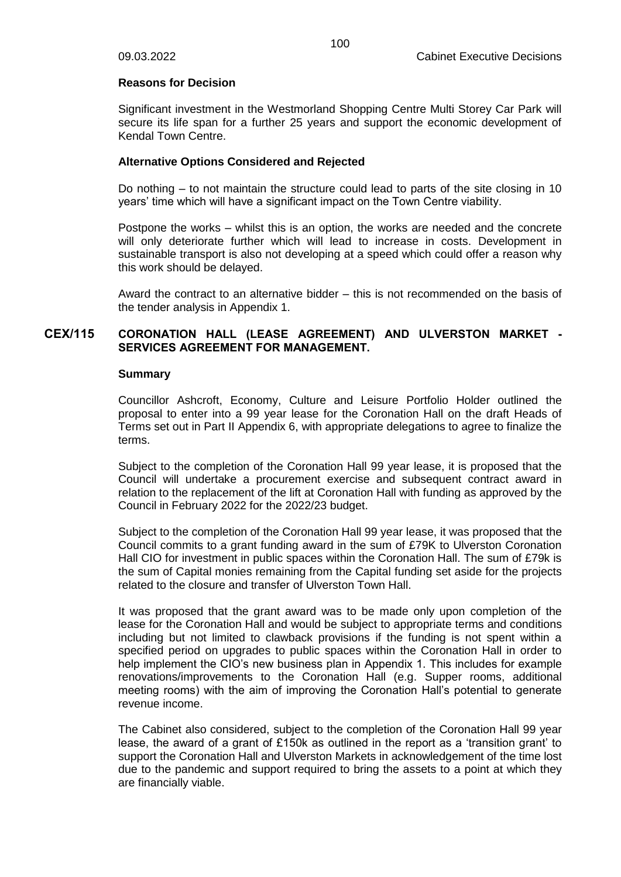### **Reasons for Decision**

Significant investment in the Westmorland Shopping Centre Multi Storey Car Park will secure its life span for a further 25 years and support the economic development of Kendal Town Centre.

# **Alternative Options Considered and Rejected**

Do nothing – to not maintain the structure could lead to parts of the site closing in 10 years' time which will have a significant impact on the Town Centre viability.

Postpone the works – whilst this is an option, the works are needed and the concrete will only deteriorate further which will lead to increase in costs. Development in sustainable transport is also not developing at a speed which could offer a reason why this work should be delayed.

Award the contract to an alternative bidder – this is not recommended on the basis of the tender analysis in Appendix 1.

# **CEX/115 CORONATION HALL (LEASE AGREEMENT) AND ULVERSTON MARKET - SERVICES AGREEMENT FOR MANAGEMENT.**

### **Summary**

Councillor Ashcroft, Economy, Culture and Leisure Portfolio Holder outlined the proposal to enter into a 99 year lease for the Coronation Hall on the draft Heads of Terms set out in Part II Appendix 6, with appropriate delegations to agree to finalize the terms.

Subject to the completion of the Coronation Hall 99 year lease, it is proposed that the Council will undertake a procurement exercise and subsequent contract award in relation to the replacement of the lift at Coronation Hall with funding as approved by the Council in February 2022 for the 2022/23 budget.

Subject to the completion of the Coronation Hall 99 year lease, it was proposed that the Council commits to a grant funding award in the sum of £79K to Ulverston Coronation Hall CIO for investment in public spaces within the Coronation Hall. The sum of £79k is the sum of Capital monies remaining from the Capital funding set aside for the projects related to the closure and transfer of Ulverston Town Hall.

It was proposed that the grant award was to be made only upon completion of the lease for the Coronation Hall and would be subject to appropriate terms and conditions including but not limited to clawback provisions if the funding is not spent within a specified period on upgrades to public spaces within the Coronation Hall in order to help implement the CIO's new business plan in Appendix 1. This includes for example renovations/improvements to the Coronation Hall (e.g. Supper rooms, additional meeting rooms) with the aim of improving the Coronation Hall's potential to generate revenue income.

The Cabinet also considered, subject to the completion of the Coronation Hall 99 year lease, the award of a grant of £150k as outlined in the report as a 'transition grant' to support the Coronation Hall and Ulverston Markets in acknowledgement of the time lost due to the pandemic and support required to bring the assets to a point at which they are financially viable.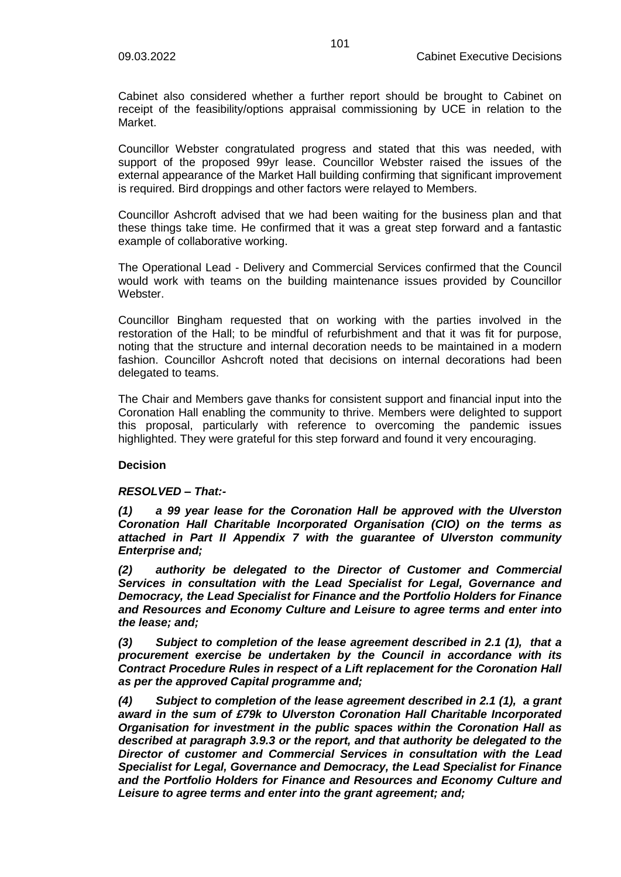Cabinet also considered whether a further report should be brought to Cabinet on receipt of the feasibility/options appraisal commissioning by UCE in relation to the Market.

Councillor Webster congratulated progress and stated that this was needed, with support of the proposed 99yr lease. Councillor Webster raised the issues of the external appearance of the Market Hall building confirming that significant improvement is required. Bird droppings and other factors were relayed to Members.

Councillor Ashcroft advised that we had been waiting for the business plan and that these things take time. He confirmed that it was a great step forward and a fantastic example of collaborative working.

The Operational Lead - Delivery and Commercial Services confirmed that the Council would work with teams on the building maintenance issues provided by Councillor **Webster** 

Councillor Bingham requested that on working with the parties involved in the restoration of the Hall; to be mindful of refurbishment and that it was fit for purpose, noting that the structure and internal decoration needs to be maintained in a modern fashion. Councillor Ashcroft noted that decisions on internal decorations had been delegated to teams.

The Chair and Members gave thanks for consistent support and financial input into the Coronation Hall enabling the community to thrive. Members were delighted to support this proposal, particularly with reference to overcoming the pandemic issues highlighted. They were grateful for this step forward and found it very encouraging.

# **Decision**

### *RESOLVED – That:-*

*(1) a 99 year lease for the Coronation Hall be approved with the Ulverston Coronation Hall Charitable Incorporated Organisation (CIO) on the terms as attached in Part II Appendix 7 with the guarantee of Ulverston community Enterprise and;*

*(2) authority be delegated to the Director of Customer and Commercial Services in consultation with the Lead Specialist for Legal, Governance and Democracy, the Lead Specialist for Finance and the Portfolio Holders for Finance and Resources and Economy Culture and Leisure to agree terms and enter into the lease; and;*

*(3) Subject to completion of the lease agreement described in 2.1 (1), that a procurement exercise be undertaken by the Council in accordance with its Contract Procedure Rules in respect of a Lift replacement for the Coronation Hall as per the approved Capital programme and;*

*(4) Subject to completion of the lease agreement described in 2.1 (1), a grant award in the sum of £79k to Ulverston Coronation Hall Charitable Incorporated Organisation for investment in the public spaces within the Coronation Hall as described at paragraph 3.9.3 or the report, and that authority be delegated to the Director of customer and Commercial Services in consultation with the Lead Specialist for Legal, Governance and Democracy, the Lead Specialist for Finance and the Portfolio Holders for Finance and Resources and Economy Culture and Leisure to agree terms and enter into the grant agreement; and;*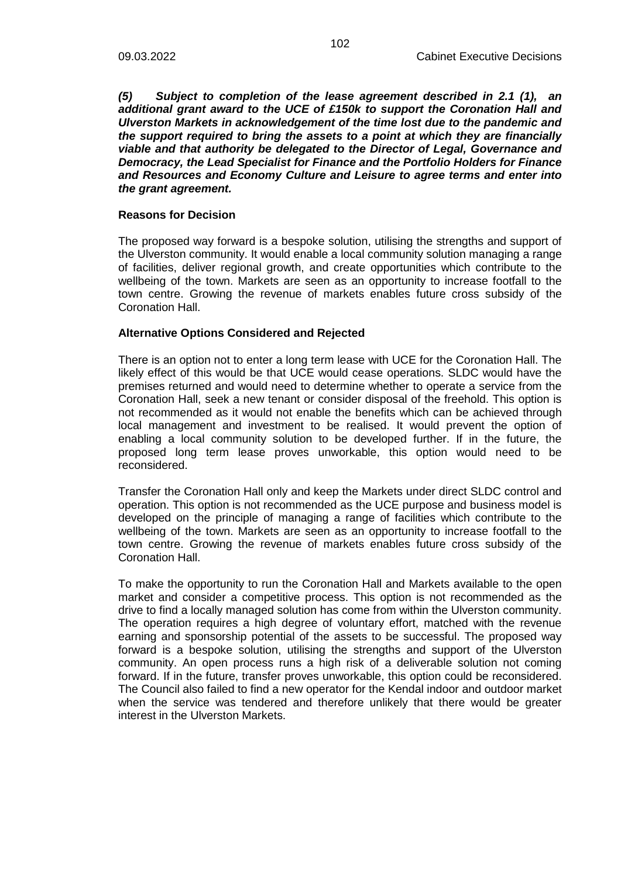*(5) Subject to completion of the lease agreement described in 2.1 (1), an additional grant award to the UCE of £150k to support the Coronation Hall and Ulverston Markets in acknowledgement of the time lost due to the pandemic and the support required to bring the assets to a point at which they are financially viable and that authority be delegated to the Director of Legal, Governance and Democracy, the Lead Specialist for Finance and the Portfolio Holders for Finance and Resources and Economy Culture and Leisure to agree terms and enter into the grant agreement.*

#### **Reasons for Decision**

The proposed way forward is a bespoke solution, utilising the strengths and support of the Ulverston community. It would enable a local community solution managing a range of facilities, deliver regional growth, and create opportunities which contribute to the wellbeing of the town. Markets are seen as an opportunity to increase footfall to the town centre. Growing the revenue of markets enables future cross subsidy of the Coronation Hall.

#### **Alternative Options Considered and Rejected**

There is an option not to enter a long term lease with UCE for the Coronation Hall. The likely effect of this would be that UCE would cease operations. SLDC would have the premises returned and would need to determine whether to operate a service from the Coronation Hall, seek a new tenant or consider disposal of the freehold. This option is not recommended as it would not enable the benefits which can be achieved through local management and investment to be realised. It would prevent the option of enabling a local community solution to be developed further. If in the future, the proposed long term lease proves unworkable, this option would need to be reconsidered.

Transfer the Coronation Hall only and keep the Markets under direct SLDC control and operation. This option is not recommended as the UCE purpose and business model is developed on the principle of managing a range of facilities which contribute to the wellbeing of the town. Markets are seen as an opportunity to increase footfall to the town centre. Growing the revenue of markets enables future cross subsidy of the Coronation Hall.

To make the opportunity to run the Coronation Hall and Markets available to the open market and consider a competitive process. This option is not recommended as the drive to find a locally managed solution has come from within the Ulverston community. The operation requires a high degree of voluntary effort, matched with the revenue earning and sponsorship potential of the assets to be successful. The proposed way forward is a bespoke solution, utilising the strengths and support of the Ulverston community. An open process runs a high risk of a deliverable solution not coming forward. If in the future, transfer proves unworkable, this option could be reconsidered. The Council also failed to find a new operator for the Kendal indoor and outdoor market when the service was tendered and therefore unlikely that there would be greater interest in the Ulverston Markets.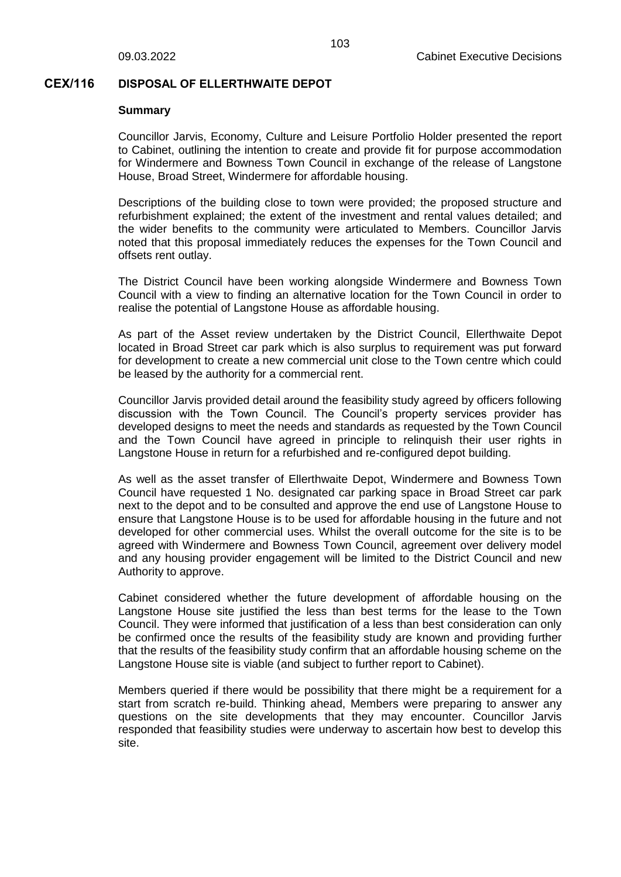### **CEX/116 DISPOSAL OF ELLERTHWAITE DEPOT**

#### **Summary**

Councillor Jarvis, Economy, Culture and Leisure Portfolio Holder presented the report to Cabinet, outlining the intention to create and provide fit for purpose accommodation for Windermere and Bowness Town Council in exchange of the release of Langstone House, Broad Street, Windermere for affordable housing.

Descriptions of the building close to town were provided; the proposed structure and refurbishment explained; the extent of the investment and rental values detailed; and the wider benefits to the community were articulated to Members. Councillor Jarvis noted that this proposal immediately reduces the expenses for the Town Council and offsets rent outlay.

The District Council have been working alongside Windermere and Bowness Town Council with a view to finding an alternative location for the Town Council in order to realise the potential of Langstone House as affordable housing.

As part of the Asset review undertaken by the District Council, Ellerthwaite Depot located in Broad Street car park which is also surplus to requirement was put forward for development to create a new commercial unit close to the Town centre which could be leased by the authority for a commercial rent.

Councillor Jarvis provided detail around the feasibility study agreed by officers following discussion with the Town Council. The Council's property services provider has developed designs to meet the needs and standards as requested by the Town Council and the Town Council have agreed in principle to relinquish their user rights in Langstone House in return for a refurbished and re-configured depot building.

As well as the asset transfer of Ellerthwaite Depot, Windermere and Bowness Town Council have requested 1 No. designated car parking space in Broad Street car park next to the depot and to be consulted and approve the end use of Langstone House to ensure that Langstone House is to be used for affordable housing in the future and not developed for other commercial uses. Whilst the overall outcome for the site is to be agreed with Windermere and Bowness Town Council, agreement over delivery model and any housing provider engagement will be limited to the District Council and new Authority to approve.

Cabinet considered whether the future development of affordable housing on the Langstone House site justified the less than best terms for the lease to the Town Council. They were informed that justification of a less than best consideration can only be confirmed once the results of the feasibility study are known and providing further that the results of the feasibility study confirm that an affordable housing scheme on the Langstone House site is viable (and subject to further report to Cabinet).

Members queried if there would be possibility that there might be a requirement for a start from scratch re-build. Thinking ahead, Members were preparing to answer any questions on the site developments that they may encounter. Councillor Jarvis responded that feasibility studies were underway to ascertain how best to develop this site.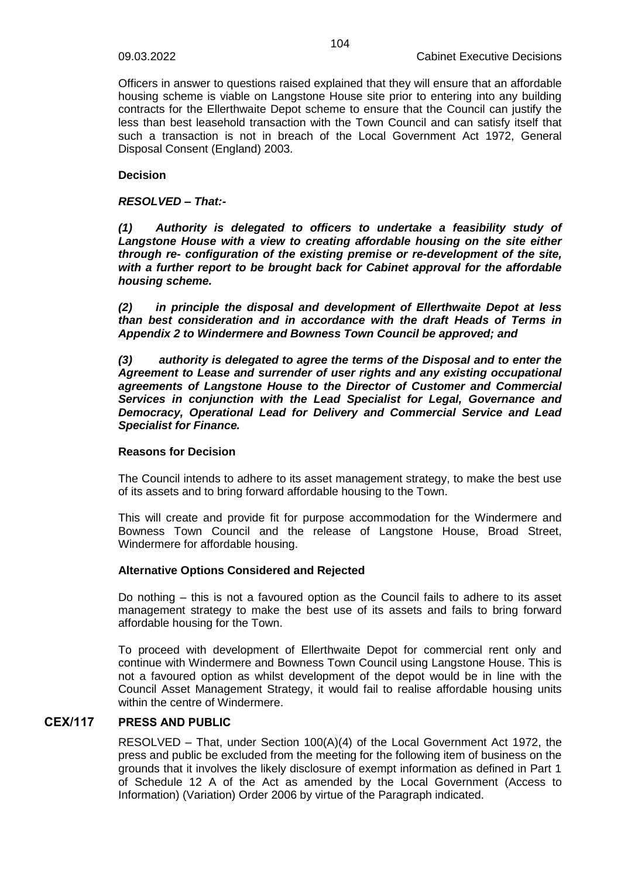Officers in answer to questions raised explained that they will ensure that an affordable housing scheme is viable on Langstone House site prior to entering into any building contracts for the Ellerthwaite Depot scheme to ensure that the Council can justify the less than best leasehold transaction with the Town Council and can satisfy itself that such a transaction is not in breach of the Local Government Act 1972, General Disposal Consent (England) 2003.

# **Decision**

### *RESOLVED – That:-*

*(1) Authority is delegated to officers to undertake a feasibility study of Langstone House with a view to creating affordable housing on the site either through re- configuration of the existing premise or re-development of the site, with a further report to be brought back for Cabinet approval for the affordable housing scheme.*

*(2) in principle the disposal and development of Ellerthwaite Depot at less than best consideration and in accordance with the draft Heads of Terms in Appendix 2 to Windermere and Bowness Town Council be approved; and*

*(3) authority is delegated to agree the terms of the Disposal and to enter the Agreement to Lease and surrender of user rights and any existing occupational agreements of Langstone House to the Director of Customer and Commercial Services in conjunction with the Lead Specialist for Legal, Governance and Democracy, Operational Lead for Delivery and Commercial Service and Lead Specialist for Finance.*

### **Reasons for Decision**

The Council intends to adhere to its asset management strategy, to make the best use of its assets and to bring forward affordable housing to the Town.

This will create and provide fit for purpose accommodation for the Windermere and Bowness Town Council and the release of Langstone House, Broad Street, Windermere for affordable housing.

# **Alternative Options Considered and Rejected**

Do nothing – this is not a favoured option as the Council fails to adhere to its asset management strategy to make the best use of its assets and fails to bring forward affordable housing for the Town.

To proceed with development of Ellerthwaite Depot for commercial rent only and continue with Windermere and Bowness Town Council using Langstone House. This is not a favoured option as whilst development of the depot would be in line with the Council Asset Management Strategy, it would fail to realise affordable housing units within the centre of Windermere.

# **CEX/117 PRESS AND PUBLIC**

RESOLVED – That, under Section  $100(A)(4)$  of the Local Government Act 1972, the press and public be excluded from the meeting for the following item of business on the grounds that it involves the likely disclosure of exempt information as defined in Part 1 of Schedule 12 A of the Act as amended by the Local Government (Access to Information) (Variation) Order 2006 by virtue of the Paragraph indicated.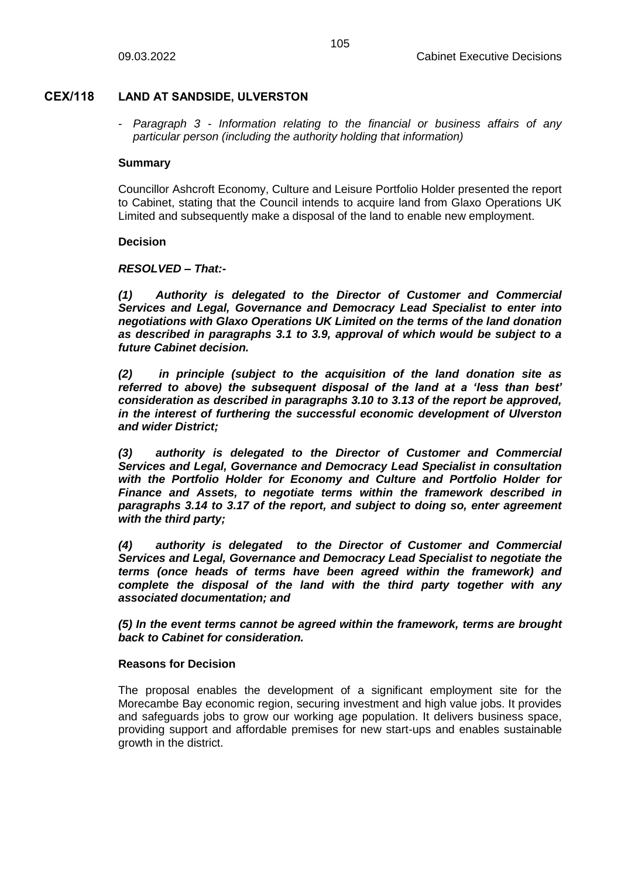# **CEX/118 LAND AT SANDSIDE, ULVERSTON**

- *Paragraph 3 - Information relating to the financial or business affairs of any particular person (including the authority holding that information)* 

### **Summary**

Councillor Ashcroft Economy, Culture and Leisure Portfolio Holder presented the report to Cabinet, stating that the Council intends to acquire land from Glaxo Operations UK Limited and subsequently make a disposal of the land to enable new employment.

### **Decision**

# *RESOLVED – That:-*

*(1) Authority is delegated to the Director of Customer and Commercial Services and Legal, Governance and Democracy Lead Specialist to enter into negotiations with Glaxo Operations UK Limited on the terms of the land donation as described in paragraphs 3.1 to 3.9, approval of which would be subject to a future Cabinet decision.*

*(2) in principle (subject to the acquisition of the land donation site as referred to above) the subsequent disposal of the land at a 'less than best' consideration as described in paragraphs 3.10 to 3.13 of the report be approved, in the interest of furthering the successful economic development of Ulverston and wider District;*

*(3) authority is delegated to the Director of Customer and Commercial Services and Legal, Governance and Democracy Lead Specialist in consultation with the Portfolio Holder for Economy and Culture and Portfolio Holder for Finance and Assets, to negotiate terms within the framework described in paragraphs 3.14 to 3.17 of the report, and subject to doing so, enter agreement with the third party;*

*(4) authority is delegated to the Director of Customer and Commercial Services and Legal, Governance and Democracy Lead Specialist to negotiate the terms (once heads of terms have been agreed within the framework) and complete the disposal of the land with the third party together with any associated documentation; and*

*(5) In the event terms cannot be agreed within the framework, terms are brought back to Cabinet for consideration.*

### **Reasons for Decision**

The proposal enables the development of a significant employment site for the Morecambe Bay economic region, securing investment and high value jobs. It provides and safeguards jobs to grow our working age population. It delivers business space, providing support and affordable premises for new start-ups and enables sustainable growth in the district.